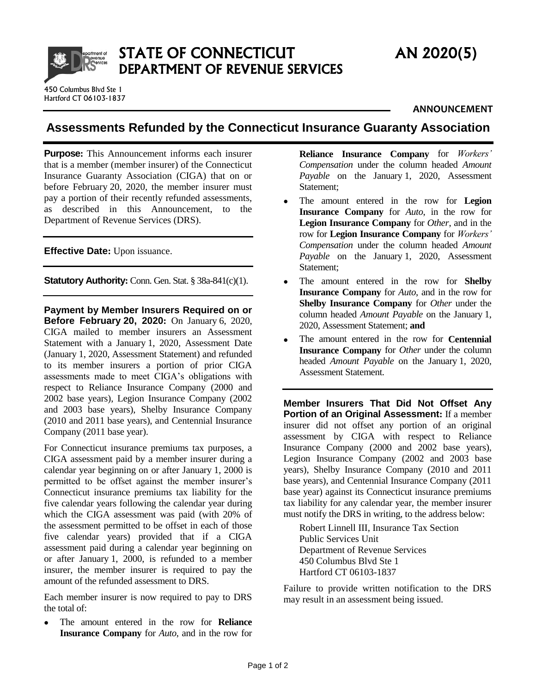

STATE OF CONNECTICUT AN 2020(5) DEPARTMENT OF REVENUE SERVICES

## **ANNOUNCEMENT**

## **Assessments Refunded by the Connecticut Insurance Guaranty Association**

**Purpose:** This Announcement informs each insurer that is a member (member insurer) of the Connecticut Insurance Guaranty Association (CIGA) that on or before February 20, 2020, the member insurer must pay a portion of their recently refunded assessments, as described in this Announcement, to the Department of Revenue Services (DRS).

**Effective Date:** Upon issuance.

**Statutory Authority:** Conn. Gen. Stat. § 38a-841(c)(1).

**Payment by Member Insurers Required on or Before February 20, 2020:** On January 6, 2020, CIGA mailed to member insurers an Assessment Statement with a January 1, 2020, Assessment Date (January 1, 2020, Assessment Statement) and refunded to its member insurers a portion of prior CIGA assessments made to meet CIGA's obligations with respect to Reliance Insurance Company (2000 and 2002 base years), Legion Insurance Company (2002 and 2003 base years), Shelby Insurance Company (2010 and 2011 base years), and Centennial Insurance Company (2011 base year).

For Connecticut insurance premiums tax purposes, a CIGA assessment paid by a member insurer during a calendar year beginning on or after January 1, 2000 is permitted to be offset against the member insurer's Connecticut insurance premiums tax liability for the five calendar years following the calendar year during which the CIGA assessment was paid (with 20% of the assessment permitted to be offset in each of those five calendar years) provided that if a CIGA assessment paid during a calendar year beginning on or after January 1, 2000, is refunded to a member insurer, the member insurer is required to pay the amount of the refunded assessment to DRS.

Each member insurer is now required to pay to DRS the total of:

 The amount entered in the row for **Reliance Insurance Company** for *Auto*, and in the row for **Reliance Insurance Company** for *Workers' Compensation* under the column headed *Amount Payable* on the January 1, 2020, Assessment Statement;

- The amount entered in the row for **Legion Insurance Company** for *Auto*, in the row for **Legion Insurance Company** for *Other*, and in the row for **Legion Insurance Company** for *Workers' Compensation* under the column headed *Amount Payable* on the January 1, 2020, Assessment Statement;
- The amount entered in the row for **Shelby Insurance Company** for *Auto*, and in the row for **Shelby Insurance Company** for *Other* under the column headed *Amount Payable* on the January 1, 2020, Assessment Statement; **and**
- The amount entered in the row for **Centennial Insurance Company** for *Other* under the column headed *Amount Payable* on the January 1, 2020, Assessment Statement.

**Member Insurers That Did Not Offset Any Portion of an Original Assessment:** If a member insurer did not offset any portion of an original assessment by CIGA with respect to Reliance Insurance Company (2000 and 2002 base years), Legion Insurance Company (2002 and 2003 base years), Shelby Insurance Company (2010 and 2011 base years), and Centennial Insurance Company (2011 base year) against its Connecticut insurance premiums tax liability for any calendar year, the member insurer must notify the DRS in writing, to the address below:

Robert Linnell III, Insurance Tax Section Public Services Unit Department of Revenue Services 450 Columbus Blvd Ste 1 Hartford CT 06103-1837

Failure to provide written notification to the DRS may result in an assessment being issued.